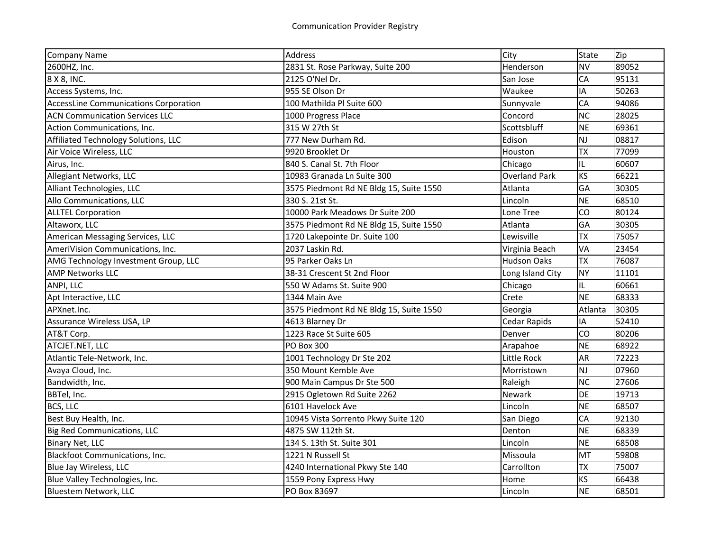| <b>Company Name</b>                          | Address                                 | City                 | <b>State</b> | Zip   |
|----------------------------------------------|-----------------------------------------|----------------------|--------------|-------|
| 2600HZ, Inc.                                 | 2831 St. Rose Parkway, Suite 200        | Henderson            | <b>NV</b>    | 89052 |
| 8 X 8, INC.                                  | 2125 O'Nel Dr.                          | San Jose             | CA           | 95131 |
| Access Systems, Inc.                         | 955 SE Olson Dr                         | Waukee               | IA           | 50263 |
| <b>AccessLine Communications Corporation</b> | 100 Mathilda Pl Suite 600               | Sunnyvale            | CA           | 94086 |
| <b>ACN Communication Services LLC</b>        | 1000 Progress Place                     | Concord              | <b>NC</b>    | 28025 |
| Action Communications, Inc.                  | 315 W 27th St                           | Scottsbluff          | <b>NE</b>    | 69361 |
| Affiliated Technology Solutions, LLC         | 777 New Durham Rd.                      | Edison               | NJ           | 08817 |
| Air Voice Wireless, LLC                      | 9920 Brooklet Dr                        | Houston              | <b>TX</b>    | 77099 |
| Airus, Inc.                                  | 840 S. Canal St. 7th Floor              | Chicago              | IL           | 60607 |
| Allegiant Networks, LLC                      | 10983 Granada Ln Suite 300              | <b>Overland Park</b> | <b>KS</b>    | 66221 |
| Alliant Technologies, LLC                    | 3575 Piedmont Rd NE Bldg 15, Suite 1550 | Atlanta              | GA           | 30305 |
| Allo Communications, LLC                     | 330 S. 21st St.                         | Lincoln              | <b>NE</b>    | 68510 |
| <b>ALLTEL Corporation</b>                    | 10000 Park Meadows Dr Suite 200         | Lone Tree            | CO           | 80124 |
| Altaworx, LLC                                | 3575 Piedmont Rd NE Bldg 15, Suite 1550 | Atlanta              | GA           | 30305 |
| American Messaging Services, LLC             | 1720 Lakepointe Dr. Suite 100           | Lewisville           | <b>TX</b>    | 75057 |
| AmeriVision Communications, Inc.             | 2037 Laskin Rd.                         | Virginia Beach       | VA           | 23454 |
| AMG Technology Investment Group, LLC         | 95 Parker Oaks Ln                       | <b>Hudson Oaks</b>   | <b>TX</b>    | 76087 |
| <b>AMP Networks LLC</b>                      | 38-31 Crescent St 2nd Floor             | Long Island City     | <b>NY</b>    | 11101 |
| ANPI, LLC                                    | 550 W Adams St. Suite 900               | Chicago              | IL.          | 60661 |
| Apt Interactive, LLC                         | 1344 Main Ave                           | Crete                | <b>NE</b>    | 68333 |
| APXnet.Inc.                                  | 3575 Piedmont Rd NE Bldg 15, Suite 1550 | Georgia              | Atlanta      | 30305 |
| Assurance Wireless USA, LP                   | 4613 Blarney Dr                         | Cedar Rapids         | IA           | 52410 |
| AT&T Corp.                                   | 1223 Race St Suite 605                  | Denver               | <b>CO</b>    | 80206 |
| ATCJET.NET, LLC                              | <b>PO Box 300</b>                       | Arapahoe             | <b>NE</b>    | 68922 |
| Atlantic Tele-Network, Inc.                  | 1001 Technology Dr Ste 202              | Little Rock          | <b>AR</b>    | 72223 |
| Avaya Cloud, Inc.                            | 350 Mount Kemble Ave                    | Morristown           | NJ           | 07960 |
| Bandwidth, Inc.                              | 900 Main Campus Dr Ste 500              | Raleigh              | <b>NC</b>    | 27606 |
| BBTel, Inc.                                  | 2915 Ogletown Rd Suite 2262             | <b>Newark</b>        | DE           | 19713 |
| BCS, LLC                                     | 6101 Havelock Ave                       | Lincoln              | <b>NE</b>    | 68507 |
| Best Buy Health, Inc.                        | 10945 Vista Sorrento Pkwy Suite 120     | San Diego            | CA           | 92130 |
| <b>Big Red Communications, LLC</b>           | 4875 SW 112th St.                       | Denton               | <b>NE</b>    | 68339 |
| <b>Binary Net, LLC</b>                       | 134 S. 13th St. Suite 301               | Lincoln              | <b>NE</b>    | 68508 |
| Blackfoot Communications, Inc.               | 1221 N Russell St                       | Missoula             | MT           | 59808 |
| Blue Jay Wireless, LLC                       | 4240 International Pkwy Ste 140         | Carrollton           | <b>TX</b>    | 75007 |
| Blue Valley Technologies, Inc.               | 1559 Pony Express Hwy                   | Home                 | KS           | 66438 |
| Bluestem Network, LLC                        | PO Box 83697                            | Lincoln              | <b>NE</b>    | 68501 |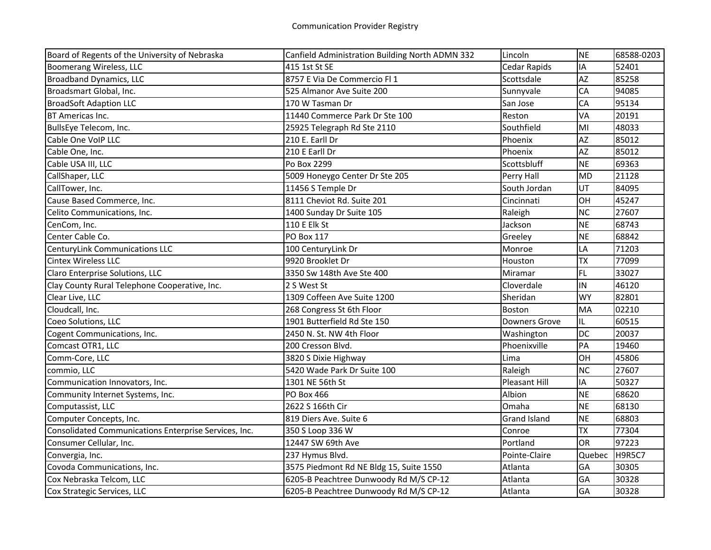| Board of Regents of the University of Nebraska        | Canfield Administration Building North ADMN 332 | Lincoln              | <b>NE</b> | 68588-0203    |
|-------------------------------------------------------|-------------------------------------------------|----------------------|-----------|---------------|
| Boomerang Wireless, LLC                               | 415 1st St SE                                   | Cedar Rapids         | IA        | 52401         |
| <b>Broadband Dynamics, LLC</b>                        | 8757 E Via De Commercio Fl 1                    | Scottsdale           | <b>AZ</b> | 85258         |
| Broadsmart Global, Inc.                               | 525 Almanor Ave Suite 200                       | Sunnyvale            | CA        | 94085         |
| <b>BroadSoft Adaption LLC</b>                         | 170 W Tasman Dr                                 | San Jose             | CA        | 95134         |
| BT Americas Inc.                                      | 11440 Commerce Park Dr Ste 100                  | Reston               | VA        | 20191         |
| BullsEye Telecom, Inc.                                | 25925 Telegraph Rd Ste 2110                     | Southfield           | MI        | 48033         |
| Cable One VoIP LLC                                    | 210 E. Earll Dr                                 | Phoenix              | <b>AZ</b> | 85012         |
| Cable One, Inc.                                       | 210 E Earll Dr                                  | Phoenix              | <b>AZ</b> | 85012         |
| Cable USA III, LLC                                    | Po Box 2299                                     | Scottsbluff          | <b>NE</b> | 69363         |
| CallShaper, LLC                                       | 5009 Honeygo Center Dr Ste 205                  | Perry Hall           | <b>MD</b> | 21128         |
| CallTower, Inc.                                       | 11456 S Temple Dr                               | South Jordan         | UT        | 84095         |
| Cause Based Commerce, Inc.                            | 8111 Cheviot Rd. Suite 201                      | Cincinnati           | OH        | 45247         |
| Celito Communications, Inc.                           | 1400 Sunday Dr Suite 105                        | Raleigh              | <b>NC</b> | 27607         |
| CenCom, Inc.                                          | 110 E Elk St                                    | Jackson              | <b>NE</b> | 68743         |
| Center Cable Co.                                      | PO Box 117                                      | Greeley              | <b>NE</b> | 68842         |
| <b>CenturyLink Communications LLC</b>                 | 100 CenturyLink Dr                              | Monroe               | LA        | 71203         |
| <b>Cintex Wireless LLC</b>                            | 9920 Brooklet Dr                                | Houston              | <b>TX</b> | 77099         |
| Claro Enterprise Solutions, LLC                       | 3350 Sw 148th Ave Ste 400                       | Miramar              | <b>FL</b> | 33027         |
| Clay County Rural Telephone Cooperative, Inc.         | 2 S West St                                     | Cloverdale           | IN        | 46120         |
| Clear Live, LLC                                       | 1309 Coffeen Ave Suite 1200                     | Sheridan             | <b>WY</b> | 82801         |
| Cloudcall, Inc.                                       | 268 Congress St 6th Floor                       | Boston               | MA        | 02210         |
| Coeo Solutions, LLC                                   | 1901 Butterfield Rd Ste 150                     | Downers Grove        | IL        | 60515         |
| Cogent Communications, Inc.                           | 2450 N. St. NW 4th Floor                        | Washington           | <b>DC</b> | 20037         |
| Comcast OTR1, LLC                                     | 200 Cresson Blvd.                               | Phoenixville         | PA        | 19460         |
| Comm-Core, LLC                                        | 3820 S Dixie Highway                            | Lima                 | OH        | 45806         |
| commio, LLC                                           | 5420 Wade Park Dr Suite 100                     | Raleigh              | <b>NC</b> | 27607         |
| Communication Innovators, Inc.                        | 1301 NE 56th St                                 | <b>Pleasant Hill</b> | IA        | 50327         |
| Community Internet Systems, Inc.                      | PO Box 466                                      | Albion               | <b>NE</b> | 68620         |
| Computassist, LLC                                     | 2622 S 166th Cir                                | Omaha                | <b>NE</b> | 68130         |
| Computer Concepts, Inc.                               | 819 Diers Ave. Suite 6                          | <b>Grand Island</b>  | <b>NE</b> | 68803         |
| Consolidated Communications Enterprise Services, Inc. | 350 S Loop 336 W                                | Conroe               | <b>TX</b> | 77304         |
| Consumer Cellular, Inc.                               | 12447 SW 69th Ave                               | Portland             | <b>OR</b> | 97223         |
| Convergia, Inc.                                       | 237 Hymus Blvd.                                 | Pointe-Claire        | Quebec    | <b>H9R5C7</b> |
| Covoda Communications, Inc.                           | 3575 Piedmont Rd NE Bldg 15, Suite 1550         | Atlanta              | GA        | 30305         |
| Cox Nebraska Telcom, LLC                              | 6205-B Peachtree Dunwoody Rd M/S CP-12          | Atlanta              | GA        | 30328         |
| Cox Strategic Services, LLC                           | 6205-B Peachtree Dunwoody Rd M/S CP-12          | Atlanta              | GA        | 30328         |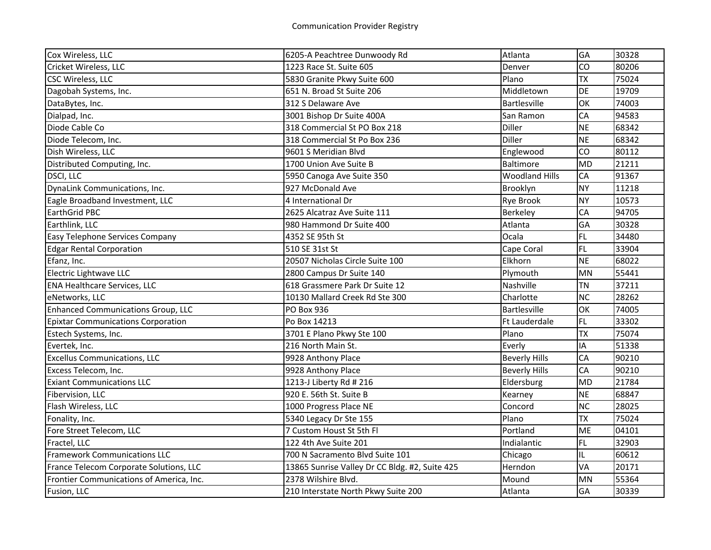| Cox Wireless, LLC                         | 6205-A Peachtree Dunwoody Rd                   | Atlanta               | <b>GA</b> | 30328 |
|-------------------------------------------|------------------------------------------------|-----------------------|-----------|-------|
| Cricket Wireless, LLC                     | 1223 Race St. Suite 605                        | Denver                | CO        | 80206 |
| CSC Wireless, LLC                         | 5830 Granite Pkwy Suite 600                    | Plano                 | <b>TX</b> | 75024 |
| Dagobah Systems, Inc.                     | 651 N. Broad St Suite 206                      | Middletown            | <b>DE</b> | 19709 |
| DataBytes, Inc.                           | 312 S Delaware Ave                             | <b>Bartlesville</b>   | OK        | 74003 |
| Dialpad, Inc.                             | 3001 Bishop Dr Suite 400A                      | San Ramon             | CA        | 94583 |
| Diode Cable Co                            | 318 Commercial St PO Box 218                   | Diller                | <b>NE</b> | 68342 |
| Diode Telecom, Inc.                       | 318 Commercial St Po Box 236                   | Diller                | <b>NE</b> | 68342 |
| Dish Wireless, LLC                        | 9601 S Meridian Blvd                           | Englewood             | CO        | 80112 |
| Distributed Computing, Inc.               | 1700 Union Ave Suite B                         | Baltimore             | <b>MD</b> | 21211 |
| DSCI, LLC                                 | 5950 Canoga Ave Suite 350                      | <b>Woodland Hills</b> | CA        | 91367 |
| DynaLink Communications, Inc.             | 927 McDonald Ave                               | Brooklyn              | <b>NY</b> | 11218 |
| Eagle Broadband Investment, LLC           | 4 International Dr                             | <b>Rye Brook</b>      | <b>NY</b> | 10573 |
| EarthGrid PBC                             | 2625 Alcatraz Ave Suite 111                    | Berkeley              | CA        | 94705 |
| Earthlink, LLC                            | 980 Hammond Dr Suite 400                       | Atlanta               | GA        | 30328 |
| Easy Telephone Services Company           | 4352 SE 95th St                                | Ocala                 | <b>FL</b> | 34480 |
| <b>Edgar Rental Corporation</b>           | 510 SE 31st St                                 | Cape Coral            | <b>FL</b> | 33904 |
| Efanz, Inc.                               | 20507 Nicholas Circle Suite 100                | Elkhorn               | <b>NE</b> | 68022 |
| Electric Lightwave LLC                    | 2800 Campus Dr Suite 140                       | Plymouth              | <b>MN</b> | 55441 |
| <b>ENA Healthcare Services, LLC</b>       | 618 Grassmere Park Dr Suite 12                 | Nashville             | <b>TN</b> | 37211 |
| eNetworks, LLC                            | 10130 Mallard Creek Rd Ste 300                 | Charlotte             | <b>NC</b> | 28262 |
| <b>Enhanced Communications Group, LLC</b> | PO Box 936                                     | Bartlesville          | OK        | 74005 |
| <b>Epixtar Communications Corporation</b> | Po Box 14213                                   | Ft Lauderdale         | <b>FL</b> | 33302 |
| Estech Systems, Inc.                      | 3701 E Plano Pkwy Ste 100                      | Plano                 | <b>TX</b> | 75074 |
| Evertek, Inc.                             | 216 North Main St.                             | Everly                | IA        | 51338 |
| <b>Excellus Communications, LLC</b>       | 9928 Anthony Place                             | <b>Beverly Hills</b>  | CA        | 90210 |
| Excess Telecom, Inc.                      | 9928 Anthony Place                             | <b>Beverly Hills</b>  | CA        | 90210 |
| <b>Exiant Communications LLC</b>          | 1213-J Liberty Rd # 216                        | Eldersburg            | <b>MD</b> | 21784 |
| Fibervision, LLC                          | 920 E. 56th St. Suite B                        | Kearney               | <b>NE</b> | 68847 |
| Flash Wireless, LLC                       | 1000 Progress Place NE                         | Concord               | <b>NC</b> | 28025 |
| Fonality, Inc.                            | 5340 Legacy Dr Ste 155                         | Plano                 | <b>TX</b> | 75024 |
| Fore Street Telecom, LLC                  | 7 Custom Houst St 5th Fl                       | Portland              | <b>ME</b> | 04101 |
| Fractel, LLC                              | 122 4th Ave Suite 201                          | Indialantic           | <b>FL</b> | 32903 |
| <b>Framework Communications LLC</b>       | 700 N Sacramento Blvd Suite 101                | Chicago               | IL        | 60612 |
| France Telecom Corporate Solutions, LLC   | 13865 Sunrise Valley Dr CC Bldg. #2, Suite 425 | Herndon               | VA        | 20171 |
| Frontier Communications of America, Inc.  | 2378 Wilshire Blvd.                            | Mound                 | <b>MN</b> | 55364 |
| Fusion, LLC                               | 210 Interstate North Pkwy Suite 200            | Atlanta               | GA        | 30339 |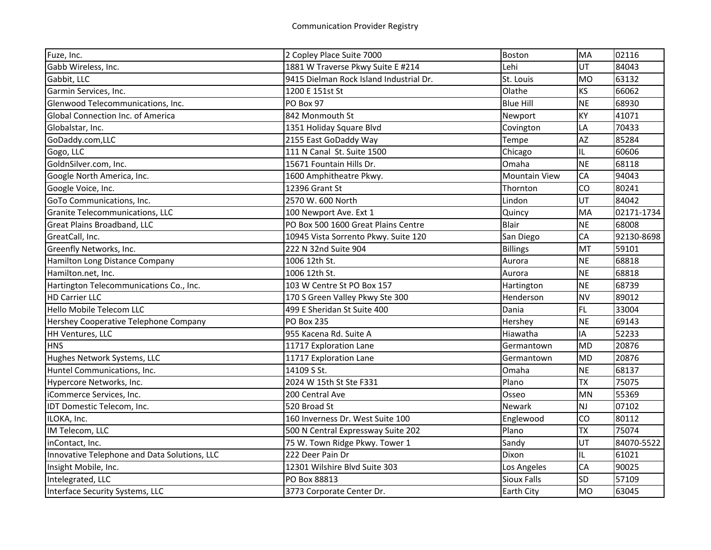| Fuze, Inc.                                   | 2 Copley Place Suite 7000               | <b>Boston</b>        | MA        | 02116      |
|----------------------------------------------|-----------------------------------------|----------------------|-----------|------------|
| Gabb Wireless, Inc.                          | 1881 W Traverse Pkwy Suite E #214       | Lehi                 | UT        | 84043      |
| Gabbit, LLC                                  | 9415 Dielman Rock Island Industrial Dr. | St. Louis            | <b>MO</b> | 63132      |
| Garmin Services, Inc.                        | 1200 E 151st St                         | Olathe               | <b>KS</b> | 66062      |
| Glenwood Telecommunications, Inc.            | PO Box 97                               | <b>Blue Hill</b>     | <b>NE</b> | 68930      |
| Global Connection Inc. of America            | 842 Monmouth St                         | Newport              | KY        | 41071      |
| Globalstar, Inc.                             | 1351 Holiday Square Blvd                | Covington            | LA        | 70433      |
| GoDaddy.com,LLC                              | 2155 East GoDaddy Way                   | Tempe                | <b>AZ</b> | 85284      |
| Gogo, LLC                                    | 111 N Canal St. Suite 1500              | Chicago              | IL        | 60606      |
| GoldnSilver.com, Inc.                        | 15671 Fountain Hills Dr.                | Omaha                | <b>NE</b> | 68118      |
| Google North America, Inc.                   | 1600 Amphitheatre Pkwy.                 | <b>Mountain View</b> | CA        | 94043      |
| Google Voice, Inc.                           | 12396 Grant St                          | Thornton             | CO        | 80241      |
| GoTo Communications, Inc.                    | 2570 W. 600 North                       | Lindon               | UT        | 84042      |
| Granite Telecommunications, LLC              | 100 Newport Ave. Ext 1                  | Quincy               | MA        | 02171-1734 |
| Great Plains Broadband, LLC                  | PO Box 500 1600 Great Plains Centre     | Blair                | <b>NE</b> | 68008      |
| GreatCall, Inc.                              | 10945 Vista Sorrento Pkwy. Suite 120    | San Diego            | CA        | 92130-8698 |
| Greenfly Networks, Inc.                      | 222 N 32nd Suite 904                    | <b>Billings</b>      | MT        | 59101      |
| Hamilton Long Distance Company               | 1006 12th St.                           | Aurora               | <b>NE</b> | 68818      |
| Hamilton.net, Inc.                           | 1006 12th St.                           | Aurora               | <b>NE</b> | 68818      |
| Hartington Telecommunications Co., Inc.      | 103 W Centre St PO Box 157              | Hartington           | <b>NE</b> | 68739      |
| <b>HD Carrier LLC</b>                        | 170 S Green Valley Pkwy Ste 300         | Henderson            | <b>NV</b> | 89012      |
| Hello Mobile Telecom LLC                     | 499 E Sheridan St Suite 400             | Dania                | <b>FL</b> | 33004      |
| Hershey Cooperative Telephone Company        | <b>PO Box 235</b>                       | Hershey              | <b>NE</b> | 69143      |
| HH Ventures, LLC                             | 955 Kacena Rd. Suite A                  | Hiawatha             | IA        | 52233      |
| <b>HNS</b>                                   | 11717 Exploration Lane                  | Germantown           | <b>MD</b> | 20876      |
| Hughes Network Systems, LLC                  | 11717 Exploration Lane                  | Germantown           | <b>MD</b> | 20876      |
| Huntel Communications, Inc.                  | 14109 S St.                             | Omaha                | <b>NE</b> | 68137      |
| Hypercore Networks, Inc.                     | 2024 W 15th St Ste F331                 | Plano                | <b>TX</b> | 75075      |
| iCommerce Services, Inc.                     | 200 Central Ave                         | Osseo                | <b>MN</b> | 55369      |
| IDT Domestic Telecom, Inc.                   | 520 Broad St                            | <b>Newark</b>        | <b>NJ</b> | 07102      |
| ILOKA, Inc.                                  | 160 Inverness Dr. West Suite 100        | Englewood            | CO        | 80112      |
| IM Telecom, LLC                              | 500 N Central Expressway Suite 202      | Plano                | <b>TX</b> | 75074      |
| inContact, Inc.                              | 75 W. Town Ridge Pkwy. Tower 1          | Sandy                | UT        | 84070-5522 |
| Innovative Telephone and Data Solutions, LLC | 222 Deer Pain Dr                        | Dixon                | IL        | 61021      |
| Insight Mobile, Inc.                         | 12301 Wilshire Blvd Suite 303           | Los Angeles          | CA        | 90025      |
| Intelegrated, LLC                            | PO Box 88813                            | <b>Sioux Falls</b>   | SD        | 57109      |
| Interface Security Systems, LLC              | 3773 Corporate Center Dr.               | <b>Earth City</b>    | <b>MO</b> | 63045      |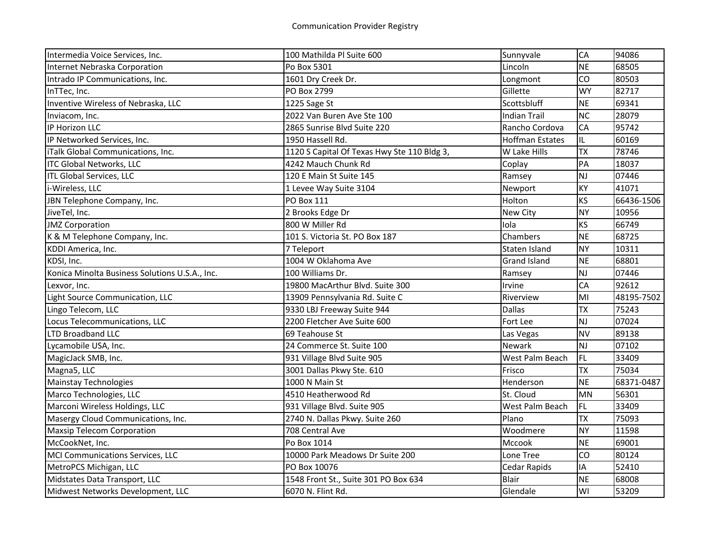| Intermedia Voice Services, Inc.                | 100 Mathilda Pl Suite 600                   | Sunnyvale              | CA        | 94086      |
|------------------------------------------------|---------------------------------------------|------------------------|-----------|------------|
| Internet Nebraska Corporation                  | Po Box 5301                                 | Lincoln                | <b>NE</b> | 68505      |
| Intrado IP Communications, Inc.                | 1601 Dry Creek Dr.                          | Longmont               | CO        | 80503      |
| InTTec, Inc.                                   | PO Box 2799                                 | Gillette               | <b>WY</b> | 82717      |
| Inventive Wireless of Nebraska, LLC            | 1225 Sage St                                | Scottsbluff            | <b>NE</b> | 69341      |
| Inviacom, Inc.                                 | 2022 Van Buren Ave Ste 100                  | Indian Trail           | <b>NC</b> | 28079      |
| IP Horizon LLC                                 | 2865 Sunrise Blvd Suite 220                 | Rancho Cordova         | CA        | 95742      |
| IP Networked Services, Inc.                    | 1950 Hassell Rd.                            | <b>Hoffman Estates</b> | IL.       | 60169      |
| iTalk Global Communications, Inc.              | 1120 S Capital Of Texas Hwy Ste 110 Bldg 3, | W Lake Hills           | <b>TX</b> | 78746      |
| <b>ITC Global Networks, LLC</b>                | 4242 Mauch Chunk Rd                         | Coplay                 | PA        | 18037      |
| <b>ITL Global Services, LLC</b>                | 120 E Main St Suite 145                     | Ramsey                 | NJ        | 07446      |
| i-Wireless, LLC                                | 1 Levee Way Suite 3104                      | Newport                | KY        | 41071      |
| JBN Telephone Company, Inc.                    | PO Box 111                                  | Holton                 | KS        | 66436-1506 |
| JiveTel, Inc.                                  | 2 Brooks Edge Dr                            | New City               | <b>NY</b> | 10956      |
| <b>JMZ Corporation</b>                         | 800 W Miller Rd                             | Iola                   | KS        | 66749      |
| K & M Telephone Company, Inc.                  | 101 S. Victoria St. PO Box 187              | Chambers               | <b>NE</b> | 68725      |
| KDDI America, Inc.                             | 7 Teleport                                  | Staten Island          | <b>NY</b> | 10311      |
| KDSI, Inc.                                     | 1004 W Oklahoma Ave                         | <b>Grand Island</b>    | <b>NE</b> | 68801      |
| Konica Minolta Business Solutions U.S.A., Inc. | 100 Williams Dr.                            | Ramsey                 | NJ        | 07446      |
| Lexvor, Inc.                                   | 19800 MacArthur Blvd. Suite 300             | Irvine                 | CA        | 92612      |
| Light Source Communication, LLC                | 13909 Pennsylvania Rd. Suite C              | Riverview              | MI        | 48195-7502 |
| Lingo Telecom, LLC                             | 9330 LBJ Freeway Suite 944                  | <b>Dallas</b>          | <b>TX</b> | 75243      |
| Locus Telecommunications, LLC                  | 2200 Fletcher Ave Suite 600                 | Fort Lee               | <b>NJ</b> | 07024      |
| <b>LTD Broadband LLC</b>                       | 69 Teahouse St                              | Las Vegas              | <b>NV</b> | 89138      |
| Lycamobile USA, Inc.                           | 24 Commerce St. Suite 100                   | Newark                 | <b>NJ</b> | 07102      |
| MagicJack SMB, Inc.                            | 931 Village Blvd Suite 905                  | West Palm Beach        | FL        | 33409      |
| Magna5, LLC                                    | 3001 Dallas Pkwy Ste. 610                   | Frisco                 | <b>TX</b> | 75034      |
| <b>Mainstay Technologies</b>                   | 1000 N Main St                              | Henderson              | <b>NE</b> | 68371-0487 |
| Marco Technologies, LLC                        | 4510 Heatherwood Rd                         | St. Cloud              | MN        | 56301      |
| Marconi Wireless Holdings, LLC                 | 931 Village Blvd. Suite 905                 | West Palm Beach        | FL.       | 33409      |
| Masergy Cloud Communications, Inc.             | 2740 N. Dallas Pkwy. Suite 260              | Plano                  | <b>TX</b> | 75093      |
| <b>Maxsip Telecom Corporation</b>              | 708 Central Ave                             | Woodmere               | <b>NY</b> | 11598      |
| McCookNet, Inc.                                | Po Box 1014                                 | Mccook                 | <b>NE</b> | 69001      |
| MCI Communications Services, LLC               | 10000 Park Meadows Dr Suite 200             | Lone Tree              | CO        | 80124      |
| MetroPCS Michigan, LLC                         | PO Box 10076                                | Cedar Rapids           | IA        | 52410      |
| Midstates Data Transport, LLC                  | 1548 Front St., Suite 301 PO Box 634        | Blair                  | <b>NE</b> | 68008      |
| Midwest Networks Development, LLC              | 6070 N. Flint Rd.                           | Glendale               | WI        | 53209      |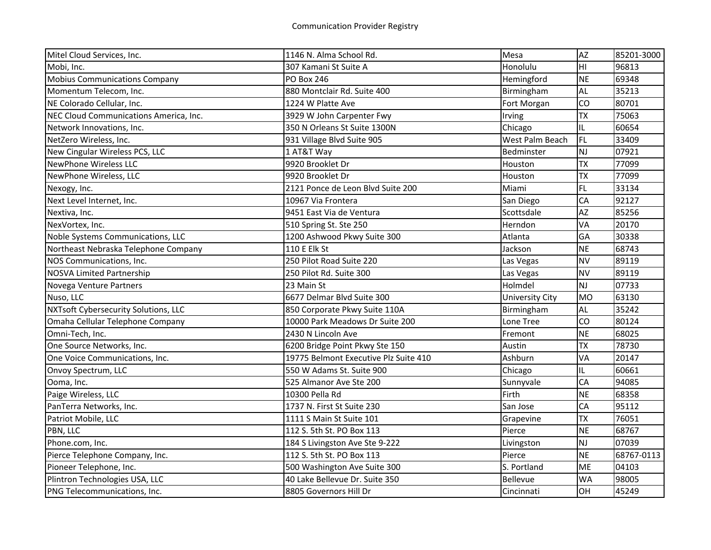| Mitel Cloud Services, Inc.             | 1146 N. Alma School Rd.               | Mesa            | AZ        | 85201-3000 |
|----------------------------------------|---------------------------------------|-----------------|-----------|------------|
| Mobi, Inc.                             | 307 Kamani St Suite A                 | Honolulu        | HI        | 96813      |
| <b>Mobius Communications Company</b>   | <b>PO Box 246</b>                     | Hemingford      | <b>NE</b> | 69348      |
| Momentum Telecom, Inc.                 | 880 Montclair Rd. Suite 400           | Birmingham      | AL        | 35213      |
| NE Colorado Cellular, Inc.             | 1224 W Platte Ave                     | Fort Morgan     | CO        | 80701      |
| NEC Cloud Communications America, Inc. | 3929 W John Carpenter Fwy             | Irving          | <b>TX</b> | 75063      |
| Network Innovations, Inc.              | 350 N Orleans St Suite 1300N          | Chicago         | IL        | 60654      |
| NetZero Wireless, Inc.                 | 931 Village Blvd Suite 905            | West Palm Beach | FL.       | 33409      |
| New Cingular Wireless PCS, LLC         | 1 AT&T Way                            | Bedminster      | <b>NJ</b> | 07921      |
| <b>NewPhone Wireless LLC</b>           | 9920 Brooklet Dr                      | Houston         | <b>TX</b> | 77099      |
| NewPhone Wireless, LLC                 | 9920 Brooklet Dr                      | Houston         | <b>TX</b> | 77099      |
| Nexogy, Inc.                           | 2121 Ponce de Leon Blvd Suite 200     | Miami           | FL        | 33134      |
| Next Level Internet, Inc.              | 10967 Via Frontera                    | San Diego       | CA        | 92127      |
| Nextiva, Inc.                          | 9451 East Via de Ventura              | Scottsdale      | AZ        | 85256      |
| NexVortex, Inc.                        | 510 Spring St. Ste 250                | Herndon         | VA        | 20170      |
| Noble Systems Communications, LLC      | 1200 Ashwood Pkwy Suite 300           | Atlanta         | GA        | 30338      |
| Northeast Nebraska Telephone Company   | 110 E Elk St                          | Jackson         | <b>NE</b> | 68743      |
| NOS Communications, Inc.               | 250 Pilot Road Suite 220              | Las Vegas       | <b>NV</b> | 89119      |
| <b>NOSVA Limited Partnership</b>       | 250 Pilot Rd. Suite 300               | Las Vegas       | <b>NV</b> | 89119      |
| Novega Venture Partners                | 23 Main St                            | Holmdel         | <b>NJ</b> | 07733      |
| Nuso, LLC                              | 6677 Delmar Blvd Suite 300            | University City | <b>MO</b> | 63130      |
| NXTsoft Cybersecurity Solutions, LLC   | 850 Corporate Pkwy Suite 110A         | Birmingham      | AL        | 35242      |
| Omaha Cellular Telephone Company       | 10000 Park Meadows Dr Suite 200       | Lone Tree       | CO        | 80124      |
| Omni-Tech, Inc.                        | 2430 N Lincoln Ave                    | Fremont         | <b>NE</b> | 68025      |
| One Source Networks, Inc.              | 6200 Bridge Point Pkwy Ste 150        | Austin          | <b>TX</b> | 78730      |
| One Voice Communications, Inc.         | 19775 Belmont Executive Plz Suite 410 | Ashburn         | VA        | 20147      |
| Onvoy Spectrum, LLC                    | 550 W Adams St. Suite 900             | Chicago         | IL.       | 60661      |
| Ooma, Inc.                             | 525 Almanor Ave Ste 200               | Sunnyvale       | CA        | 94085      |
| Paige Wireless, LLC                    | 10300 Pella Rd                        | Firth           | <b>NE</b> | 68358      |
| PanTerra Networks, Inc.                | 1737 N. First St Suite 230            | San Jose        | CA        | 95112      |
| Patriot Mobile, LLC                    | 1111 S Main St Suite 101              | Grapevine       | <b>TX</b> | 76051      |
| PBN, LLC                               | 112 S. 5th St. PO Box 113             | Pierce          | <b>NE</b> | 68767      |
| Phone.com, Inc.                        | 184 S Livingston Ave Ste 9-222        | Livingston      | <b>NJ</b> | 07039      |
| Pierce Telephone Company, Inc.         | 112 S. 5th St. PO Box 113             | Pierce          | <b>NE</b> | 68767-0113 |
| Pioneer Telephone, Inc.                | 500 Washington Ave Suite 300          | S. Portland     | <b>ME</b> | 04103      |
| Plintron Technologies USA, LLC         | 40 Lake Bellevue Dr. Suite 350        | Bellevue        | <b>WA</b> | 98005      |
| PNG Telecommunications, Inc.           | 8805 Governors Hill Dr                | Cincinnati      | OH        | 45249      |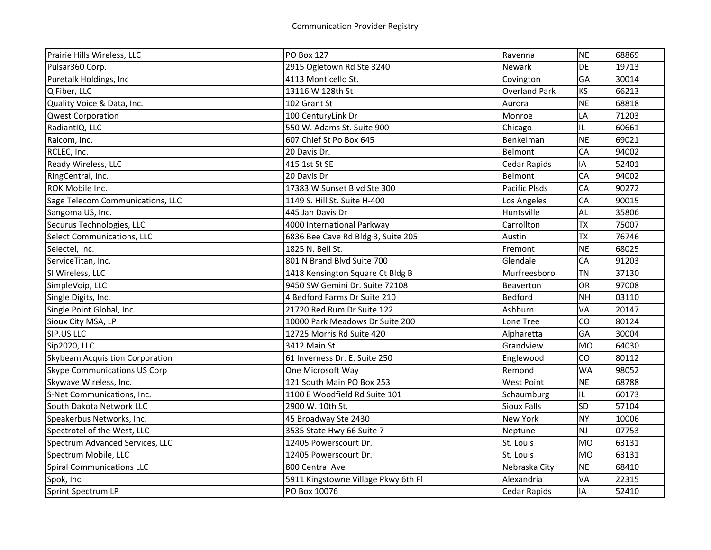| Prairie Hills Wireless, LLC         | <b>PO Box 127</b>                   | Ravenna              | <b>NE</b> | 68869 |
|-------------------------------------|-------------------------------------|----------------------|-----------|-------|
| Pulsar360 Corp.                     | 2915 Ogletown Rd Ste 3240           | Newark               | DE        | 19713 |
| Puretalk Holdings, Inc              | 4113 Monticello St.                 | Covington            | GA        | 30014 |
| Q Fiber, LLC                        | 13116 W 128th St                    | <b>Overland Park</b> | <b>KS</b> | 66213 |
| Quality Voice & Data, Inc.          | 102 Grant St                        | Aurora               | <b>NE</b> | 68818 |
| <b>Qwest Corporation</b>            | 100 CenturyLink Dr                  | Monroe               | LA        | 71203 |
| RadiantIQ, LLC                      | 550 W. Adams St. Suite 900          | Chicago              | IL.       | 60661 |
| Raicom, Inc.                        | 607 Chief St Po Box 645             | Benkelman            | <b>NE</b> | 69021 |
| RCLEC, Inc.                         | 20 Davis Dr.                        | <b>Belmont</b>       | CA        | 94002 |
| Ready Wireless, LLC                 | 415 1st St SE                       | <b>Cedar Rapids</b>  | IA        | 52401 |
| RingCentral, Inc.                   | 20 Davis Dr                         | Belmont              | CA        | 94002 |
| ROK Mobile Inc.                     | 17383 W Sunset Blvd Ste 300         | <b>Pacific Plsds</b> | CA        | 90272 |
| Sage Telecom Communications, LLC    | 1149 S. Hill St. Suite H-400        | Los Angeles          | CA        | 90015 |
| Sangoma US, Inc.                    | 445 Jan Davis Dr                    | Huntsville           | <b>AL</b> | 35806 |
| Securus Technologies, LLC           | 4000 International Parkway          | Carrollton           | <b>TX</b> | 75007 |
| Select Communications, LLC          | 6836 Bee Cave Rd Bldg 3, Suite 205  | Austin               | <b>TX</b> | 76746 |
| Selectel, Inc.                      | 1825 N. Bell St.                    | Fremont              | <b>NE</b> | 68025 |
| ServiceTitan, Inc.                  | 801 N Brand Blvd Suite 700          | Glendale             | CA        | 91203 |
| SI Wireless, LLC                    | 1418 Kensington Square Ct Bldg B    | Murfreesboro         | <b>TN</b> | 37130 |
| SimpleVoip, LLC                     | 9450 SW Gemini Dr. Suite 72108      | Beaverton            | <b>OR</b> | 97008 |
| Single Digits, Inc.                 | 4 Bedford Farms Dr Suite 210        | Bedford              | <b>NH</b> | 03110 |
| Single Point Global, Inc.           | 21720 Red Rum Dr Suite 122          | Ashburn              | VA        | 20147 |
| Sioux City MSA, LP                  | 10000 Park Meadows Dr Suite 200     | Lone Tree            | CO        | 80124 |
| SIP.US LLC                          | 12725 Morris Rd Suite 420           | Alpharetta           | GA        | 30004 |
| Sip2020, LLC                        | 3412 Main St                        | Grandview            | <b>MO</b> | 64030 |
| Skybeam Acquisition Corporation     | 61 Inverness Dr. E. Suite 250       | Englewood            | CO        | 80112 |
| <b>Skype Communications US Corp</b> | One Microsoft Way                   | Remond               | <b>WA</b> | 98052 |
| Skywave Wireless, Inc.              | 121 South Main PO Box 253           | <b>West Point</b>    | <b>NE</b> | 68788 |
| S-Net Communications, Inc.          | 1100 E Woodfield Rd Suite 101       | Schaumburg           | IL        | 60173 |
| South Dakota Network LLC            | 2900 W. 10th St.                    | <b>Sioux Falls</b>   | <b>SD</b> | 57104 |
| Speakerbus Networks, Inc.           | 45 Broadway Ste 2430                | <b>New York</b>      | <b>NY</b> | 10006 |
| Spectrotel of the West, LLC         | 3535 State Hwy 66 Suite 7           | Neptune              | <b>NJ</b> | 07753 |
| Spectrum Advanced Services, LLC     | 12405 Powerscourt Dr.               | St. Louis            | <b>MO</b> | 63131 |
| Spectrum Mobile, LLC                | 12405 Powerscourt Dr.               | St. Louis            | <b>MO</b> | 63131 |
| <b>Spiral Communications LLC</b>    | 800 Central Ave                     | Nebraska City        | <b>NE</b> | 68410 |
| Spok, Inc.                          | 5911 Kingstowne Village Pkwy 6th Fl | Alexandria           | VA        | 22315 |
| Sprint Spectrum LP                  | PO Box 10076                        | <b>Cedar Rapids</b>  | IA        | 52410 |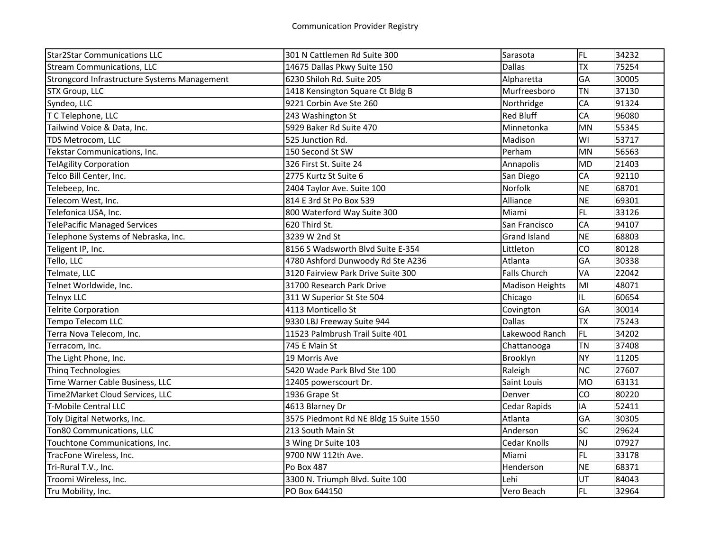| <b>Star2Star Communications LLC</b>          | 301 N Cattlemen Rd Suite 300           | Sarasota               | FL        | 34232 |
|----------------------------------------------|----------------------------------------|------------------------|-----------|-------|
| <b>Stream Communications, LLC</b>            | 14675 Dallas Pkwy Suite 150            | <b>Dallas</b>          | <b>TX</b> | 75254 |
| Strongcord Infrastructure Systems Management | 6230 Shiloh Rd. Suite 205              | Alpharetta             | GA        | 30005 |
| STX Group, LLC                               | 1418 Kensington Square Ct Bldg B       | Murfreesboro           | <b>TN</b> | 37130 |
| Syndeo, LLC                                  | 9221 Corbin Ave Ste 260                | Northridge             | CA        | 91324 |
| T C Telephone, LLC                           | 243 Washington St                      | <b>Red Bluff</b>       | CA        | 96080 |
| Tailwind Voice & Data, Inc.                  | 5929 Baker Rd Suite 470                | Minnetonka             | <b>MN</b> | 55345 |
| TDS Metrocom, LLC                            | 525 Junction Rd.                       | Madison                | WI        | 53717 |
| Tekstar Communications, Inc.                 | 150 Second St SW                       | Perham                 | MN        | 56563 |
| <b>TelAgility Corporation</b>                | 326 First St. Suite 24                 | Annapolis              | <b>MD</b> | 21403 |
| Telco Bill Center, Inc.                      | 2775 Kurtz St Suite 6                  | San Diego              | CA        | 92110 |
| Telebeep, Inc.                               | 2404 Taylor Ave. Suite 100             | Norfolk                | <b>NE</b> | 68701 |
| Telecom West, Inc.                           | 814 E 3rd St Po Box 539                | Alliance               | <b>NE</b> | 69301 |
| Telefonica USA, Inc.                         | 800 Waterford Way Suite 300            | Miami                  | <b>FL</b> | 33126 |
| <b>TelePacific Managed Services</b>          | 620 Third St.                          | San Francisco          | CA        | 94107 |
| Telephone Systems of Nebraska, Inc.          | 3239 W 2nd St                          | <b>Grand Island</b>    | <b>NE</b> | 68803 |
| Teligent IP, Inc.                            | 8156 S Wadsworth Blvd Suite E-354      | Littleton              | CO        | 80128 |
| Tello, LLC                                   | 4780 Ashford Dunwoody Rd Ste A236      | Atlanta                | GA        | 30338 |
| Telmate, LLC                                 | 3120 Fairview Park Drive Suite 300     | <b>Falls Church</b>    | VA        | 22042 |
| Telnet Worldwide, Inc.                       | 31700 Research Park Drive              | <b>Madison Heights</b> | MI        | 48071 |
| <b>Telnyx LLC</b>                            | 311 W Superior St Ste 504              | Chicago                | IL.       | 60654 |
| <b>Telrite Corporation</b>                   | 4113 Monticello St                     | Covington              | GA        | 30014 |
| Tempo Telecom LLC                            | 9330 LBJ Freeway Suite 944             | <b>Dallas</b>          | <b>TX</b> | 75243 |
| Terra Nova Telecom, Inc.                     | 11523 Palmbrush Trail Suite 401        | Lakewood Ranch         | <b>FL</b> | 34202 |
| Terracom, Inc.                               | 745 E Main St                          | Chattanooga            | <b>TN</b> | 37408 |
| The Light Phone, Inc.                        | 19 Morris Ave                          | Brooklyn               | <b>NY</b> | 11205 |
| <b>Thing Technologies</b>                    | 5420 Wade Park Blvd Ste 100            | Raleigh                | <b>NC</b> | 27607 |
| Time Warner Cable Business, LLC              | 12405 powerscourt Dr.                  | Saint Louis            | <b>MO</b> | 63131 |
| Time2Market Cloud Services, LLC              | 1936 Grape St                          | Denver                 | CO        | 80220 |
| <b>T-Mobile Central LLC</b>                  | 4613 Blarney Dr                        | <b>Cedar Rapids</b>    | IA        | 52411 |
| Toly Digital Networks, Inc.                  | 3575 Piedmont Rd NE Bldg 15 Suite 1550 | Atlanta                | GA        | 30305 |
| Ton80 Communications, LLC                    | 213 South Main St                      | Anderson               | SC        | 29624 |
| Touchtone Communications, Inc.               | 3 Wing Dr Suite 103                    | Cedar Knolls           | NJ        | 07927 |
| TracFone Wireless, Inc.                      | 9700 NW 112th Ave.                     | Miami                  | FL        | 33178 |
| Tri-Rural T.V., Inc.                         | Po Box 487                             | Henderson              | <b>NE</b> | 68371 |
| Troomi Wireless, Inc.                        | 3300 N. Triumph Blvd. Suite 100        | Lehi                   | UT        | 84043 |
| Tru Mobility, Inc.                           | PO Box 644150                          | Vero Beach             | FL        | 32964 |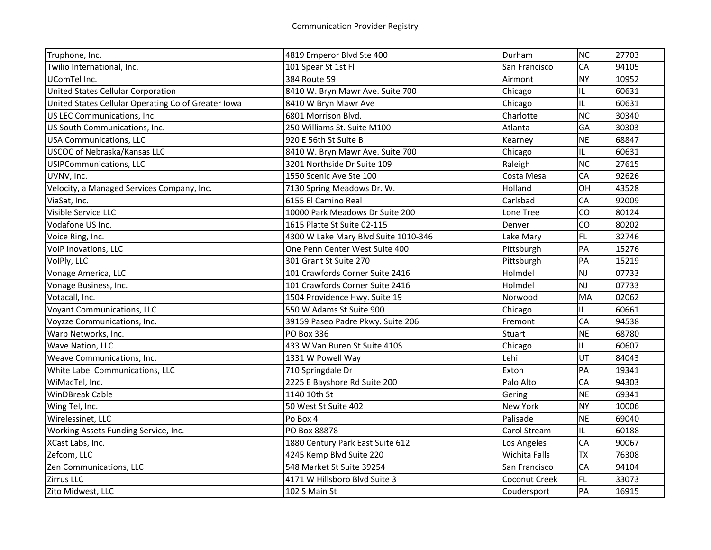| Truphone, Inc.                                      | 4819 Emperor Blvd Ste 400            | Durham        | NC        | 27703 |
|-----------------------------------------------------|--------------------------------------|---------------|-----------|-------|
| Twilio International, Inc.                          | 101 Spear St 1st Fl                  | San Francisco | CA        | 94105 |
| UComTel Inc.                                        | 384 Route 59                         | Airmont       | <b>NY</b> | 10952 |
| United States Cellular Corporation                  | 8410 W. Bryn Mawr Ave. Suite 700     | Chicago       | IL.       | 60631 |
| United States Cellular Operating Co of Greater Iowa | 8410 W Bryn Mawr Ave                 | Chicago       | IL        | 60631 |
| US LEC Communications, Inc.                         | 6801 Morrison Blvd.                  | Charlotte     | <b>NC</b> | 30340 |
| US South Communications, Inc.                       | 250 Williams St. Suite M100          | Atlanta       | GA        | 30303 |
| <b>USA Communications, LLC</b>                      | 920 E 56th St Suite B                | Kearney       | <b>NE</b> | 68847 |
| <b>USCOC of Nebraska/Kansas LLC</b>                 | 8410 W. Bryn Mawr Ave. Suite 700     | Chicago       | IL.       | 60631 |
| <b>USIPCommunications, LLC</b>                      | 3201 Northside Dr Suite 109          | Raleigh       | <b>NC</b> | 27615 |
| UVNV, Inc.                                          | 1550 Scenic Ave Ste 100              | Costa Mesa    | CA        | 92626 |
| Velocity, a Managed Services Company, Inc.          | 7130 Spring Meadows Dr. W.           | Holland       | OH        | 43528 |
| ViaSat, Inc.                                        | 6155 El Camino Real                  | Carlsbad      | CA        | 92009 |
| Visible Service LLC                                 | 10000 Park Meadows Dr Suite 200      | Lone Tree     | CO        | 80124 |
| Vodafone US Inc.                                    | 1615 Platte St Suite 02-115          | Denver        | CO        | 80202 |
| Voice Ring, Inc.                                    | 4300 W Lake Mary Blvd Suite 1010-346 | Lake Mary     | <b>FL</b> | 32746 |
| VolP Inovations, LLC                                | One Penn Center West Suite 400       | Pittsburgh    | PA        | 15276 |
| VolPly, LLC                                         | 301 Grant St Suite 270               | Pittsburgh    | PA        | 15219 |
| Vonage America, LLC                                 | 101 Crawfords Corner Suite 2416      | Holmdel       | NJ        | 07733 |
| Vonage Business, Inc.                               | 101 Crawfords Corner Suite 2416      | Holmdel       | NJ        | 07733 |
| Votacall, Inc.                                      | 1504 Providence Hwy. Suite 19        | Norwood       | MA        | 02062 |
| <b>Voyant Communications, LLC</b>                   | 550 W Adams St Suite 900             | Chicago       | IL        | 60661 |
| Voyzze Communications, Inc.                         | 39159 Paseo Padre Pkwy. Suite 206    | Fremont       | CA        | 94538 |
| Warp Networks, Inc.                                 | PO Box 336                           | Stuart        | <b>NE</b> | 68780 |
| Wave Nation, LLC                                    | 433 W Van Buren St Suite 410S        | Chicago       | IL        | 60607 |
| Weave Communications, Inc.                          | 1331 W Powell Way                    | Lehi          | UT        | 84043 |
| White Label Communications, LLC                     | 710 Springdale Dr                    | Exton         | PA        | 19341 |
| WiMacTel, Inc.                                      | 2225 E Bayshore Rd Suite 200         | Palo Alto     | CA        | 94303 |
| <b>WinDBreak Cable</b>                              | 1140 10th St                         | Gering        | <b>NE</b> | 69341 |
| Wing Tel, Inc.                                      | 50 West St Suite 402                 | New York      | <b>NY</b> | 10006 |
| Wirelessinet, LLC                                   | Po Box 4                             | Palisade      | <b>NE</b> | 69040 |
| Working Assets Funding Service, Inc.                | PO Box 88878                         | Carol Stream  | IL        | 60188 |
| XCast Labs, Inc.                                    | 1880 Century Park East Suite 612     | Los Angeles   | CA        | 90067 |
| Zefcom, LLC                                         | 4245 Kemp Blvd Suite 220             | Wichita Falls | <b>TX</b> | 76308 |
| Zen Communications, LLC                             | 548 Market St Suite 39254            | San Francisco | CA        | 94104 |
| Zirrus LLC                                          | 4171 W Hillsboro Blvd Suite 3        | Coconut Creek | <b>FL</b> | 33073 |
| Zito Midwest, LLC                                   | 102 S Main St                        | Coudersport   | PA        | 16915 |